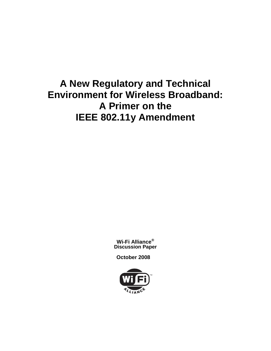# **A New Regulatory and Technical Environment for Wireless Broadband: A Primer on the IEEE 802.11y Amendment**

**Wi-Fi Alliance® Discussion Paper**

**October 2008**

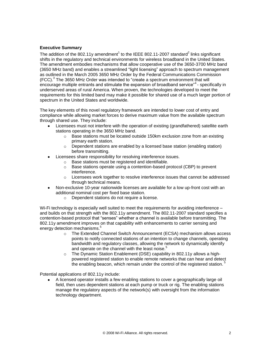# **Executive Summary**

The addition of the 802.11y amendment<sup>1</sup> to the IEEE 802.11-2007 standard<sup>2</sup> links significant shifts in the regulatory and technical environments for wireless broadband in the United States. The amendment embodies mechanisms that allow cooperative use of the 3650-3700 MHz band (3650 MHz band) and enables a streamlined "light licensing" approach to spectrum management as outlined in the March 2005 3650 MHz Order by the Federal Communications Commission  $(FCC).$ <sup>3</sup> The 3650 MHz Order was intended to "create a spectrum environment that will encourage multiple entrants and stimulate the expansion of broadband service"<sup>4</sup> - specifically in underserved areas of rural America. When proven, the technologies developed to meet the requirements for this limited band may make it possible for shared use of a much larger portion of spectrum in the United States and worldwide.

The key elements of this novel regulatory framework are intended to lower cost of entry and compliance while allowing market forces to derive maximum value from the available spectrum through shared use. They include:

- Licensees must not interfere with the operation of existing (grandfathered) satellite earth stations operating in the 3650 MHz band.
	- $\circ$  Base stations must be located outside 150km exclusion zone from an existing primary earth station.
	- o Dependent stations are enabled by a licensed base station (enabling station) before transmitting.
- Licensees share responsibility for resolving interference issues.  $\bullet$ 
	- o Base stations must be registered and identifiable.
	- o Base stations operate using a contention-based protocol (CBP) to prevent interference.
	- $\circ$  Licensees work together to resolve interference issues that cannot be addressed through technical means.
- Non-exclusive 10-year nationwide licenses are available for a low up-front cost with an additional nominal cost per fixed base station.
	- o Dependent stations do not require a license.

Wi-Fi technology is especially well suited to meet the requirements for avoiding interference – and builds on that strength with the 802.11y amendment. The 802.11-2007 standard specifies a contention-based protocol that "senses" whether a channel is available before transmitting. The 802.11y amendment improves on that capability with enhancements to carrier sensing and energy detection mechanisms.<sup>5</sup>

- o The Extended Channel Switch Announcement (ECSA) mechanism allows access points to notify connected stations of an intention to change channels, operating bandwidth and regulatory classes, allowing the network to dynamically identify and operate on the channel with the least noise.<sup>5</sup>
- $\circ$  The Dynamic Station Enablement (DSE) capability in 802.11y allows a highpowered registered station to enable remote networks that can hear and detect the enabling beacon, which remain under the control of the registered station.<sup>5</sup>

Potential applications of 802.11y include:

A licensed operator installs a few enabling stations to cover a geographically large oil field, then uses dependent stations at each pump or truck or rig. The enabling stations manage the regulatory aspects of the network(s) with oversight from the information technology department.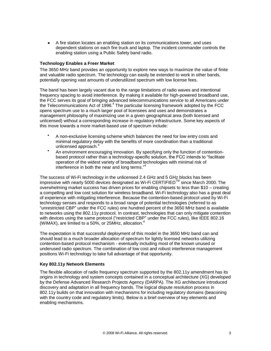A fire station locates an enabling station on its communications tower, and uses dependent stations on each fire truck and laptop. The incident commander controls the enabling station using a Public Safety band radio.

# **Technology Enables a Freer Market**

The 3650 MHz band provides an opportunity to explore new ways to maximize the value of finite and valuable radio spectrum. The technology can easily be extended to work in other bands, potentially opening vast amounts of underutilized spectrum with low license fees.

The band has been largely vacant due to the range limitations of radio waves and intentional frequency spacing to avoid interference. By making it available for high-powered broadband use, the FCC serves its goal of bringing advanced telecommunications service to all Americans under the Telecommunications Act of 1996.<sup>4</sup> The particular licensing framework adopted by the FCC opens spectrum use to a much larger pool of licensees and uses and demonstrates a management philosophy of maximizing use in a given geographical area (both licensed and unlicensed) without a corresponding increase in regulatory infrastructure. Some key aspects of this move towards a more market-based use of spectrum include:

- A non-exclusive licensing scheme which balances the need for low entry costs and minimal regulatory delay with the benefits of more coordination than a traditional unlicensed approach.<sup>4</sup>
- $\bullet$ An environment encouraging innovation. By specifying only the function of contentionbased protocol rather than a technology-specific solution, the FCC intends to "facilitate operation of the widest variety of broadband technologies with minimal risk of interference in both the near and long terms. $14$

The success of Wi-Fi technology in the unlicensed 2.4 GHz and 5 GHz blocks has been impressive with nearly 5000 devices designated as Wi-Fi CERTIFIED™ since March 2000. The overwhelming market success has driven prices for enabling chipsets to less than \$10 – creating a compelling and low cost solution for wireless broadband. Wi-Fi technology also has a great deal of experience with mitigating interference. Because the contention-based protocol used by Wi-Fi technology senses and responds to a broad range of potential technologies (referred to as "unrestricted CBP" under the FCC rules) one hundred percent of the 3650 MHz band is available to networks using the 802.11y protocol. In contrast, technologies that can only mitigate contention with devices using the same protocol ("restricted CBP" under the FCC rules), like IEEE 802.16 (WiMAX), are limited to a 50%, or 25MHz, allocation. $4$ 

The expectation is that successful deployment of this model in the 3650 MHz band can and should lead to a much broader allocation of spectrum for lightly licensed networks utilizing contention-based protocol mechanism - eventually including most of the known unused or underused radio spectrum. The combination of low cost and robust interference management positions Wi-Fi technology to take full advantage of that opportunity.

# **Key 802.11y Network Elements**

The flexible allocation of radio frequency spectrum supported by the 802.11y amendment has its origins in technology and system concepts contained in a conceptual architecture (XG) developed by the Defense Advanced Research Projects Agency (DARPA). The XG architecture introduced discovery and adaptation in all frequency bands. The logical dispute resolution process in 802.11y builds on that innovation with mechanisms for including regulatory domains (beaconing with the country code and regulatory limits). Below is a brief overview of key elements and enabling mechanisms.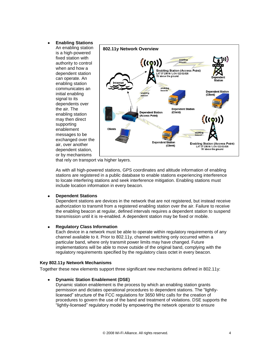**Enabling Stations** An enabling station is a high-powered fixed station with authority to control when and how a dependent station can operate. An enabling station communicates an initial enabling signal to its dependents over the air. The enabling station may then direct supporting enablement messages to be exchanged over the air, over another dependent station, or by mechanisms

 $\bullet$ 



that rely on transport via higher layers.

As with all high-powered stations, GPS coordinates and altitude information of enabling stations are registered in a public database to enable stations experiencing interference to locate interfering stations and seek interference mitigation. Enabling stations must include location information in every beacon.

#### $\bullet$ **Dependent Stations**

Dependent stations are devices in the network that are not registered, but instead receive authorization to transmit from a registered enabling station over the air. Failure to receive the enabling beacon at regular, defined intervals requires a dependent station to suspend transmission until it is re-enabled. A dependent station may be fixed or mobile.

#### **Regulatory Class Information**  $\bullet$

Each device in a network must be able to operate within regulatory requirements of any channel available to it. Prior to 802.11y, channel switching only occurred within a particular band, where only transmit power limits may have changed. Future implementations will be able to move outside of the original band, complying with the regulatory requirements specified by the regulatory class octet in every beacon*.*

# **Key 802.11y Network Mechanisms**

Together these new elements support three significant new mechanisms defined in 802.11y:

# **Dynamic Station Enablement (DSE)**

Dynamic station enablement is the process by which an enabling station grants permission and dictates operational procedures to dependent stations. The "lightlylicensed‖ structure of the FCC regulations for 3650 MHz calls for the creation of procedures to govern the use of the band and treatment of violations. DSE supports the "lightly-licensed" regulatory model by empowering the network operator to ensure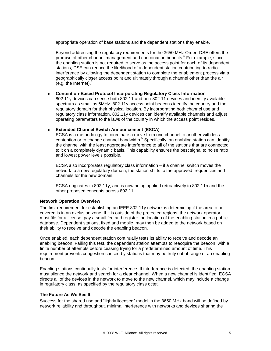appropriate operation of base stations and the dependent stations they enable.

Beyond addressing the regulatory requirements for the 3650 MHz Order, DSE offers the promise of other channel management and coordination benefits.<sup>5</sup> For example, since the enabling station is not required to serve as the access point for each of its dependent stations, DSE can reduce the likelihood of a dependent station contributing to radio interference by allowing the dependent station to complete the enablement process via a geographically closer access point and ultimately through a channel other than the air (e.g. the Internet). $5$ 

### **Contention-Based Protocol Incorporating Regulatory Class Information**

802.11y devices can sense both 802.11 and non-802.11 devices and identify available spectrum as small as 5MHz. 802.11y access point beacons identify the country and the regulatory domain for their physical location. By incorporating both channel use and regulatory class information, 802.11y devices can identify available channels and adjust operating parameters to the laws of the country in which the access point resides.

#### **Extended Channel Switch Announcement (ESCA)**  $\bullet$

ECSA is a methodology to coordinate a move from one channel to another with less contention or to change channel bandwidth.<sup>5</sup> Specifically, an enabling station can identify the channel with the least aggregate interference to all of the stations that are connected to it on a completely dynamic basis. This capability ensures the best signal to noise ratio and lowest power levels possible.

ECSA also incorporates regulatory class information – if a channel switch moves the network to a new regulatory domain, the station shifts to the approved frequencies and channels for the new domain.

ECSA originates in 802.11y, and is now being applied retroactively to 802.11n and the other proposed concepts across 802.11.

### **Network Operation Overview**

The first requirement for establishing an IEEE 802.11y network is determining if the area to be covered is in an exclusion zone. If it is outside of the protected regions, the network operator must file for a license, pay a small fee and register the location of the enabling station in a public database. Dependent stations, fixed and mobile, may then be added to the network based on their ability to receive and decode the enabling beacon.

Once enabled, each dependent station continually tests its ability to receive and decode an enabling beacon. Failing this test, the dependent station attempts to reacquire the beacon, with a finite number of attempts before ceasing trying for a predetermined amount of time. This requirement prevents congestion caused by stations that may be truly out of range of an enabling beacon.

Enabling stations continually tests for interference. If interference is detected, the enabling station must silence the network and search for a clear channel. When a new channel is identified, ECSA directs all of the devices in the network to move to the new channel, which may include a change in regulatory class, as specified by the regulatory class octet.

### **The Future As We See It**

Success for the shared use and "lightly licensed" model in the 3650 MHz band will be defined by network reliability and throughput, minimal interference with networks and devices sharing the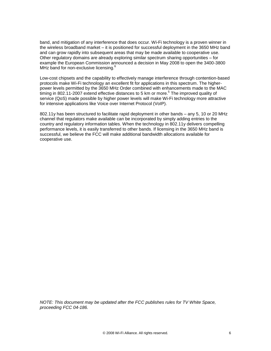band, and mitigation of any interference that does occur. Wi-Fi technology is a proven winner in the wireless broadband market – it is positioned for successful deployment in the 3650 MHz band and can grow rapidly into subsequent areas that may be made available to cooperative use. Other regulatory domains are already exploring similar spectrum sharing opportunities – for example the European Commission announced a decision in May 2008 to open the 3400-3800 MHz band for non-exclusive licensing.<sup>6</sup>

Low-cost chipsets and the capability to effectively manage interference through contention-based protocols make Wi-Fi technology an excellent fit for applications in this spectrum. The higherpower levels permitted by the 3650 MHz Order combined with enhancements made to the MAC timing in 802.11-2007 extend effective distances to 5 km or more.<sup>5</sup> The improved quality of service (QoS) made possible by higher power levels will make Wi-Fi technology more attractive for intensive applications like Voice over Internet Protocol (VoIP).

802.11y has been structured to facilitate rapid deployment in other bands – any 5, 10 or 20 MHz channel that regulators make available can be incorporated by simply adding entries to the country and regulatory information tables. When the technology in 802.11y delivers compelling performance levels, it is easily transferred to other bands. If licensing in the 3650 MHz band is successful, we believe the FCC will make additional bandwidth allocations available for cooperative use.

*NOTE: This document may be updated after the FCC publishes rules for TV White Space, proceeding FCC 04-186.*